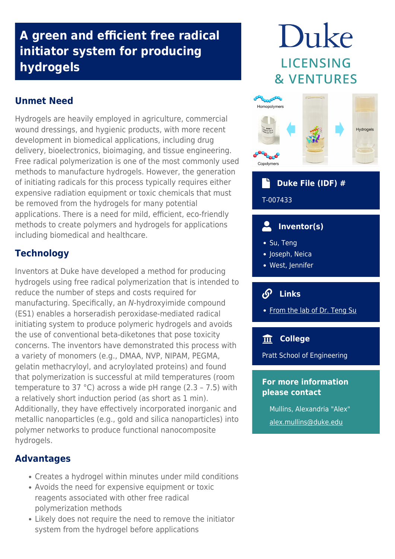## **A green and efficient free radical initiator system for producing hydrogels**

## **Unmet Need**

Hydrogels are heavily employed in agriculture, commercial wound dressings, and hygienic products, with more recent development in biomedical applications, including drug delivery, bioelectronics, bioimaging, and tissue engineering. Free radical polymerization is one of the most commonly used methods to manufacture hydrogels. However, the generation of initiating radicals for this process typically requires either expensive radiation equipment or toxic chemicals that must be removed from the hydrogels for many potential applications. There is a need for mild, efficient, eco-friendly methods to create polymers and hydrogels for applications including biomedical and healthcare.

## **Technology**

Inventors at Duke have developed a method for producing hydrogels using free radical polymerization that is intended to reduce the number of steps and costs required for manufacturing. Specifically, an N-hydroxyimide compound (ES1) enables a horseradish peroxidase-mediated radical initiating system to produce polymeric hydrogels and avoids the use of conventional beta-diketones that pose toxicity concerns. The inventors have demonstrated this process with a variety of monomers (e.g., DMAA, NVP, NIPAM, PEGMA, gelatin methacryloyl, and acryloylated proteins) and found that polymerization is successful at mild temperatures (room temperature to 37 °C) across a wide pH range (2.3 – 7.5) with a relatively short induction period (as short as 1 min). Additionally, they have effectively incorporated inorganic and metallic nanoparticles (e.g., gold and silica nanoparticles) into polymer networks to produce functional nanocomposite hydrogels.

## **Advantages**

- Creates a hydrogel within minutes under mild conditions
- Avoids the need for expensive equipment or toxic reagents associated with other free radical polymerization methods
- Likely does not require the need to remove the initiator system from the hydrogel before applications

# Duke **LICENSING & VENTURES**



## **Duke File (IDF) #**

T-007433

#### **Inventor(s)**  $\overline{\phantom{a}}$

- Su, Teng
- Joseph, Neica
- West, Jennifer

#### டு  **Links**

• [From the lab of Dr. Teng Su](https://bme.duke.edu/faculty/teng-su)

## **College**

Pratt School of Engineering

### **For more information please contact**

Mullins, Alexandria "Alex" [alex.mullins@duke.edu](mailto:alex.mullins@duke.edu)